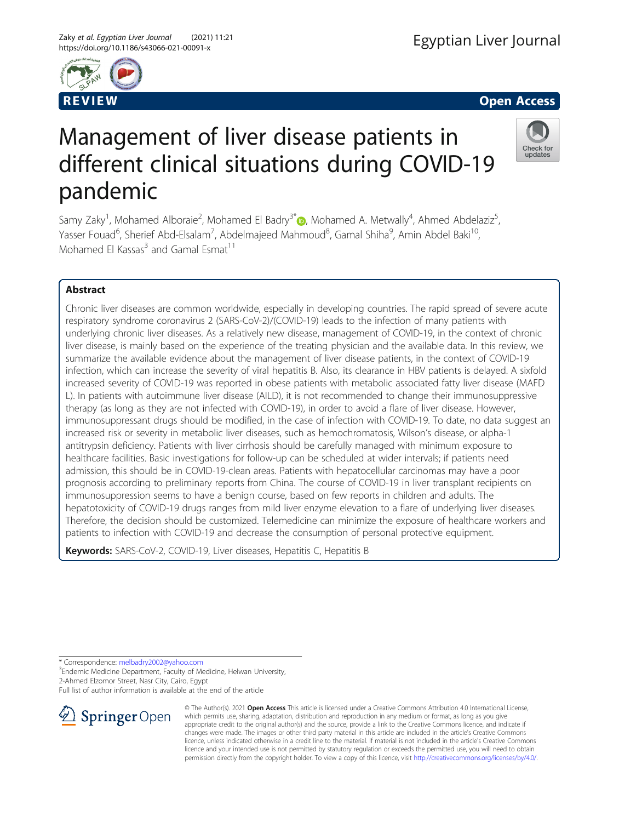



Check for updates

# Management of liver disease patients in different clinical situations during COVID-19 pandemic

Samy Zaky<sup>1</sup>, Mohamed Alboraie<sup>2</sup>, Mohamed El Badry<sup>3\*</sup>®, Mohamed A. Metwally<sup>4</sup>, Ahmed Abdelaziz<sup>5</sup> , Yasser Fouad<sup>6</sup>, Sherief Abd-Elsalam<sup>7</sup>, Abdelmajeed Mahmoud<sup>8</sup>, Gamal Shiha<sup>9</sup>, Amin Abdel Baki<sup>10</sup>, Mohamed El Kassas $3$  and Gamal Esmat<sup>11</sup>

# Abstract

Chronic liver diseases are common worldwide, especially in developing countries. The rapid spread of severe acute respiratory syndrome coronavirus 2 (SARS-CoV-2)/(COVID-19) leads to the infection of many patients with underlying chronic liver diseases. As a relatively new disease, management of COVID-19, in the context of chronic liver disease, is mainly based on the experience of the treating physician and the available data. In this review, we summarize the available evidence about the management of liver disease patients, in the context of COVID-19 infection, which can increase the severity of viral hepatitis B. Also, its clearance in HBV patients is delayed. A sixfold increased severity of COVID-19 was reported in obese patients with metabolic associated fatty liver disease (MAFD L). In patients with autoimmune liver disease (AILD), it is not recommended to change their immunosuppressive therapy (as long as they are not infected with COVID-19), in order to avoid a flare of liver disease. However, immunosuppressant drugs should be modified, in the case of infection with COVID-19. To date, no data suggest an increased risk or severity in metabolic liver diseases, such as hemochromatosis, Wilson's disease, or alpha-1 antitrypsin deficiency. Patients with liver cirrhosis should be carefully managed with minimum exposure to healthcare facilities. Basic investigations for follow-up can be scheduled at wider intervals; if patients need admission, this should be in COVID-19-clean areas. Patients with hepatocellular carcinomas may have a poor prognosis according to preliminary reports from China. The course of COVID-19 in liver transplant recipients on immunosuppression seems to have a benign course, based on few reports in children and adults. The hepatotoxicity of COVID-19 drugs ranges from mild liver enzyme elevation to a flare of underlying liver diseases. Therefore, the decision should be customized. Telemedicine can minimize the exposure of healthcare workers and patients to infection with COVID-19 and decrease the consumption of personal protective equipment.

Keywords: SARS-CoV-2, COVID-19, Liver diseases, Hepatitis C, Hepatitis B

\* Correspondence: [melbadry2002@yahoo.com](mailto:melbadry2002@yahoo.com) <sup>3</sup>

<sup>3</sup> Endemic Medicine Department, Faculty of Medicine, Helwan University, 2-Ahmed Elzomor Street, Nasr City, Cairo, Egypt

Full list of author information is available at the end of the article



© The Author(s). 2021 Open Access This article is licensed under a Creative Commons Attribution 4.0 International License, which permits use, sharing, adaptation, distribution and reproduction in any medium or format, as long as you give appropriate credit to the original author(s) and the source, provide a link to the Creative Commons licence, and indicate if changes were made. The images or other third party material in this article are included in the article's Creative Commons licence, unless indicated otherwise in a credit line to the material. If material is not included in the article's Creative Commons licence and your intended use is not permitted by statutory regulation or exceeds the permitted use, you will need to obtain permission directly from the copyright holder. To view a copy of this licence, visit <http://creativecommons.org/licenses/by/4.0/>.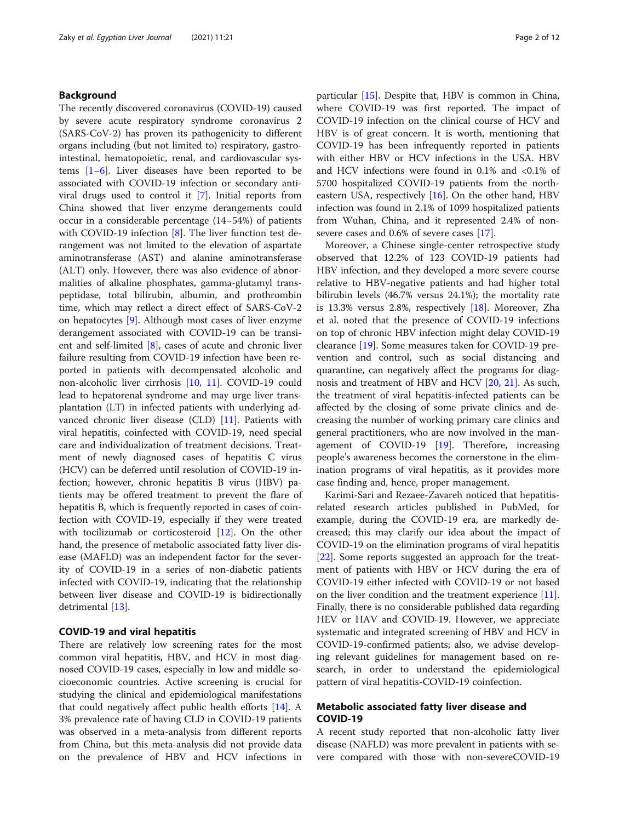# Background

The recently discovered coronavirus (COVID-19) caused by severe acute respiratory syndrome coronavirus 2 (SARS-CoV-2) has proven its pathogenicity to different organs including (but not limited to) respiratory, gastrointestinal, hematopoietic, renal, and cardiovascular systems  $[1-6]$  $[1-6]$  $[1-6]$ . Liver diseases have been reported to be associated with COVID-19 infection or secondary antiviral drugs used to control it [\[7](#page-9-0)]. Initial reports from China showed that liver enzyme derangements could occur in a considerable percentage (14–54%) of patients with COVID-19 infection [\[8](#page-9-0)]. The liver function test derangement was not limited to the elevation of aspartate aminotransferase (AST) and alanine aminotransferase (ALT) only. However, there was also evidence of abnormalities of alkaline phosphates, gamma-glutamyl transpeptidase, total bilirubin, albumin, and prothrombin time, which may reflect a direct effect of SARS-CoV-2 on hepatocytes [[9\]](#page-9-0). Although most cases of liver enzyme derangement associated with COVID-19 can be transient and self-limited [[8](#page-9-0)], cases of acute and chronic liver failure resulting from COVID-19 infection have been reported in patients with decompensated alcoholic and non-alcoholic liver cirrhosis [\[10,](#page-9-0) [11\]](#page-9-0). COVID-19 could lead to hepatorenal syndrome and may urge liver transplantation (LT) in infected patients with underlying advanced chronic liver disease (CLD) [\[11](#page-9-0)]. Patients with viral hepatitis, coinfected with COVID-19, need special care and individualization of treatment decisions. Treatment of newly diagnosed cases of hepatitis C virus (HCV) can be deferred until resolution of COVID-19 infection; however, chronic hepatitis B virus (HBV) patients may be offered treatment to prevent the flare of hepatitis B, which is frequently reported in cases of coinfection with COVID-19, especially if they were treated with tocilizumab or corticosteroid [[12\]](#page-9-0). On the other hand, the presence of metabolic associated fatty liver disease (MAFLD) was an independent factor for the severity of COVID-19 in a series of non-diabetic patients infected with COVID-19, indicating that the relationship between liver disease and COVID-19 is bidirectionally detrimental [[13\]](#page-9-0).

#### COVID-19 and viral hepatitis

There are relatively low screening rates for the most common viral hepatitis, HBV, and HCV in most diagnosed COVID-19 cases, especially in low and middle socioeconomic countries. Active screening is crucial for studying the clinical and epidemiological manifestations that could negatively affect public health efforts [[14](#page-9-0)]. A 3% prevalence rate of having CLD in COVID-19 patients was observed in a meta-analysis from different reports from China, but this meta-analysis did not provide data on the prevalence of HBV and HCV infections in particular [[15\]](#page-9-0). Despite that, HBV is common in China, where COVID-19 was first reported. The impact of COVID-19 infection on the clinical course of HCV and HBV is of great concern. It is worth, mentioning that COVID-19 has been infrequently reported in patients with either HBV or HCV infections in the USA. HBV and HCV infections were found in 0.1% and <0.1% of 5700 hospitalized COVID-19 patients from the northeastern USA, respectively  $[16]$ . On the other hand, HBV infection was found in 2.1% of 1099 hospitalized patients from Wuhan, China, and it represented 2.4% of nonsevere cases and 0.6% of severe cases [\[17\]](#page-9-0).

Moreover, a Chinese single-center retrospective study observed that 12.2% of 123 COVID-19 patients had HBV infection, and they developed a more severe course relative to HBV-negative patients and had higher total bilirubin levels (46.7% versus 24.1%); the mortality rate is 13.3% versus 2.8%, respectively [[18\]](#page-9-0). Moreover, Zha et al. noted that the presence of COVID-19 infections on top of chronic HBV infection might delay COVID-19 clearance [[19\]](#page-9-0). Some measures taken for COVID-19 prevention and control, such as social distancing and quarantine, can negatively affect the programs for diagnosis and treatment of HBV and HCV [\[20,](#page-9-0) [21](#page-9-0)]. As such, the treatment of viral hepatitis-infected patients can be affected by the closing of some private clinics and decreasing the number of working primary care clinics and general practitioners, who are now involved in the management of COVID-19 [[19\]](#page-9-0). Therefore, increasing people's awareness becomes the cornerstone in the elimination programs of viral hepatitis, as it provides more case finding and, hence, proper management.

Karimi-Sari and Rezaee-Zavareh noticed that hepatitisrelated research articles published in PubMed, for example, during the COVID-19 era, are markedly decreased; this may clarify our idea about the impact of COVID-19 on the elimination programs of viral hepatitis [[22\]](#page-9-0). Some reports suggested an approach for the treatment of patients with HBV or HCV during the era of COVID-19 either infected with COVID-19 or not based on the liver condition and the treatment experience [\[11](#page-9-0)]. Finally, there is no considerable published data regarding HEV or HAV and COVID-19. However, we appreciate systematic and integrated screening of HBV and HCV in COVID-19-confirmed patients; also, we advise developing relevant guidelines for management based on research, in order to understand the epidemiological pattern of viral hepatitis-COVID-19 coinfection.

# Metabolic associated fatty liver disease and COVID-19

A recent study reported that non-alcoholic fatty liver disease (NAFLD) was more prevalent in patients with severe compared with those with non-severeCOVID-19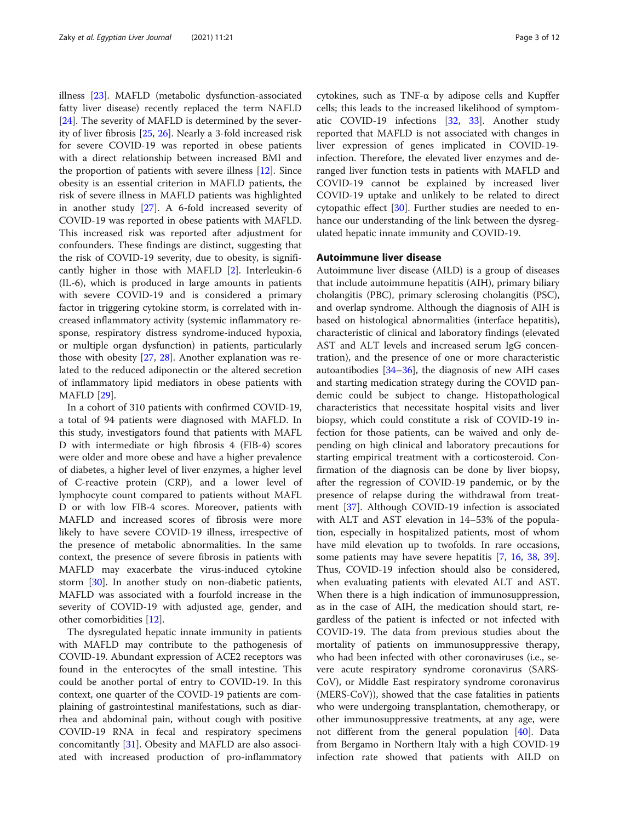illness [\[23](#page-9-0)]. MAFLD (metabolic dysfunction-associated fatty liver disease) recently replaced the term NAFLD [[24\]](#page-9-0). The severity of MAFLD is determined by the severity of liver fibrosis [[25,](#page-9-0) [26\]](#page-9-0). Nearly a 3-fold increased risk for severe COVID-19 was reported in obese patients with a direct relationship between increased BMI and the proportion of patients with severe illness [\[12\]](#page-9-0). Since obesity is an essential criterion in MAFLD patients, the risk of severe illness in MAFLD patients was highlighted in another study [\[27](#page-9-0)]. A 6-fold increased severity of COVID-19 was reported in obese patients with MAFLD. This increased risk was reported after adjustment for confounders. These findings are distinct, suggesting that the risk of COVID-19 severity, due to obesity, is significantly higher in those with MAFLD [[2\]](#page-8-0). Interleukin-6 (IL-6), which is produced in large amounts in patients with severe COVID-19 and is considered a primary factor in triggering cytokine storm, is correlated with increased inflammatory activity (systemic inflammatory response, respiratory distress syndrome-induced hypoxia, or multiple organ dysfunction) in patients, particularly those with obesity [\[27](#page-9-0), [28](#page-9-0)]. Another explanation was related to the reduced adiponectin or the altered secretion of inflammatory lipid mediators in obese patients with MAFLD [[29](#page-9-0)].

In a cohort of 310 patients with confirmed COVID-19, a total of 94 patients were diagnosed with MAFLD. In this study, investigators found that patients with MAFL D with intermediate or high fibrosis 4 (FIB-4) scores were older and more obese and have a higher prevalence of diabetes, a higher level of liver enzymes, a higher level of C-reactive protein (CRP), and a lower level of lymphocyte count compared to patients without MAFL D or with low FIB-4 scores. Moreover, patients with MAFLD and increased scores of fibrosis were more likely to have severe COVID-19 illness, irrespective of the presence of metabolic abnormalities. In the same context, the presence of severe fibrosis in patients with MAFLD may exacerbate the virus-induced cytokine storm [[30](#page-9-0)]. In another study on non-diabetic patients, MAFLD was associated with a fourfold increase in the severity of COVID-19 with adjusted age, gender, and other comorbidities [\[12](#page-9-0)].

The dysregulated hepatic innate immunity in patients with MAFLD may contribute to the pathogenesis of COVID-19. Abundant expression of ACE2 receptors was found in the enterocytes of the small intestine. This could be another portal of entry to COVID-19. In this context, one quarter of the COVID-19 patients are complaining of gastrointestinal manifestations, such as diarrhea and abdominal pain, without cough with positive COVID-19 RNA in fecal and respiratory specimens concomitantly [\[31](#page-9-0)]. Obesity and MAFLD are also associated with increased production of pro-inflammatory cytokines, such as TNF-α by adipose cells and Kupffer cells; this leads to the increased likelihood of symptomatic COVID-19 infections [\[32](#page-9-0), [33](#page-9-0)]. Another study reported that MAFLD is not associated with changes in liver expression of genes implicated in COVID-19 infection. Therefore, the elevated liver enzymes and deranged liver function tests in patients with MAFLD and COVID-19 cannot be explained by increased liver COVID-19 uptake and unlikely to be related to direct cytopathic effect [\[30](#page-9-0)]. Further studies are needed to enhance our understanding of the link between the dysregulated hepatic innate immunity and COVID-19.

# Autoimmune liver disease

Autoimmune liver disease (AILD) is a group of diseases that include autoimmune hepatitis (AIH), primary biliary cholangitis (PBC), primary sclerosing cholangitis (PSC), and overlap syndrome. Although the diagnosis of AIH is based on histological abnormalities (interface hepatitis), characteristic of clinical and laboratory findings (elevated AST and ALT levels and increased serum IgG concentration), and the presence of one or more characteristic autoantibodies [\[34](#page-9-0)–[36\]](#page-9-0), the diagnosis of new AIH cases and starting medication strategy during the COVID pandemic could be subject to change. Histopathological characteristics that necessitate hospital visits and liver biopsy, which could constitute a risk of COVID-19 infection for those patients, can be waived and only depending on high clinical and laboratory precautions for starting empirical treatment with a corticosteroid. Confirmation of the diagnosis can be done by liver biopsy, after the regression of COVID-19 pandemic, or by the presence of relapse during the withdrawal from treatment [[37\]](#page-9-0). Although COVID-19 infection is associated with ALT and AST elevation in 14–53% of the population, especially in hospitalized patients, most of whom have mild elevation up to twofolds. In rare occasions, some patients may have severe hepatitis [[7](#page-9-0), [16](#page-9-0), [38](#page-9-0), [39](#page-9-0)]. Thus, COVID-19 infection should also be considered, when evaluating patients with elevated ALT and AST. When there is a high indication of immunosuppression, as in the case of AIH, the medication should start, regardless of the patient is infected or not infected with COVID-19. The data from previous studies about the mortality of patients on immunosuppressive therapy, who had been infected with other coronaviruses (i.e., severe acute respiratory syndrome coronavirus (SARS-CoV), or Middle East respiratory syndrome coronavirus (MERS-CoV)), showed that the case fatalities in patients who were undergoing transplantation, chemotherapy, or other immunosuppressive treatments, at any age, were not different from the general population [\[40](#page-9-0)]. Data from Bergamo in Northern Italy with a high COVID-19 infection rate showed that patients with AILD on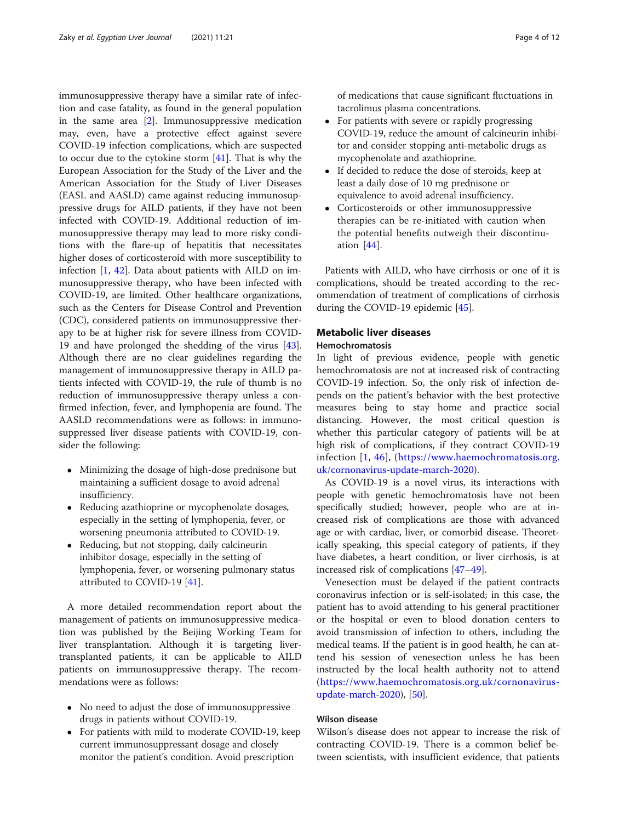immunosuppressive therapy have a similar rate of infection and case fatality, as found in the general population in the same area  $[2]$  $[2]$ . Immunosuppressive medication may, even, have a protective effect against severe COVID-19 infection complications, which are suspected to occur due to the cytokine storm [[41](#page-10-0)]. That is why the European Association for the Study of the Liver and the American Association for the Study of Liver Diseases (EASL and AASLD) came against reducing immunosuppressive drugs for AILD patients, if they have not been infected with COVID-19. Additional reduction of immunosuppressive therapy may lead to more risky conditions with the flare-up of hepatitis that necessitates higher doses of corticosteroid with more susceptibility to infection [\[1](#page-8-0), [42\]](#page-10-0). Data about patients with AILD on immunosuppressive therapy, who have been infected with COVID-19, are limited. Other healthcare organizations, such as the Centers for Disease Control and Prevention (CDC), considered patients on immunosuppressive therapy to be at higher risk for severe illness from COVID-19 and have prolonged the shedding of the virus [\[43](#page-10-0)]. Although there are no clear guidelines regarding the management of immunosuppressive therapy in AILD patients infected with COVID-19, the rule of thumb is no reduction of immunosuppressive therapy unless a confirmed infection, fever, and lymphopenia are found. The AASLD recommendations were as follows: in immunosuppressed liver disease patients with COVID-19, consider the following:

- Minimizing the dosage of high-dose prednisone but maintaining a sufficient dosage to avoid adrenal insufficiency.
- Reducing azathioprine or mycophenolate dosages, especially in the setting of lymphopenia, fever, or worsening pneumonia attributed to COVID-19.
- Reducing, but not stopping, daily calcineurin inhibitor dosage, especially in the setting of lymphopenia, fever, or worsening pulmonary status attributed to COVID-19 [[41](#page-10-0)].

A more detailed recommendation report about the management of patients on immunosuppressive medication was published by the Beijing Working Team for liver transplantation. Although it is targeting livertransplanted patients, it can be applicable to AILD patients on immunosuppressive therapy. The recommendations were as follows:

- No need to adjust the dose of immunosuppressive drugs in patients without COVID-19.
- For patients with mild to moderate COVID-19, keep current immunosuppressant dosage and closely monitor the patient's condition. Avoid prescription

of medications that cause significant fluctuations in tacrolimus plasma concentrations.

- For patients with severe or rapidly progressing COVID-19, reduce the amount of calcineurin inhibitor and consider stopping anti-metabolic drugs as mycophenolate and azathioprine.
- If decided to reduce the dose of steroids, keep at least a daily dose of 10 mg prednisone or equivalence to avoid adrenal insufficiency.
- Corticosteroids or other immunosuppressive therapies can be re-initiated with caution when the potential benefits outweigh their discontinuation [[44](#page-10-0)].

Patients with AILD, who have cirrhosis or one of it is complications, should be treated according to the recommendation of treatment of complications of cirrhosis during the COVID-19 epidemic [\[45](#page-10-0)].

# Metabolic liver diseases

# Hemochromatosis

In light of previous evidence, people with genetic hemochromatosis are not at increased risk of contracting COVID-19 infection. So, the only risk of infection depends on the patient's behavior with the best protective measures being to stay home and practice social distancing. However, the most critical question is whether this particular category of patients will be at high risk of complications, if they contract COVID-19 infection [[1,](#page-8-0) [46\]](#page-10-0), ([https://www.haemochromatosis.org.](https://www.haemochromatosis.org.uk/cornonavirus-update-march-2020) [uk/cornonavirus-update-march-2020\)](https://www.haemochromatosis.org.uk/cornonavirus-update-march-2020).

As COVID-19 is a novel virus, its interactions with people with genetic hemochromatosis have not been specifically studied; however, people who are at increased risk of complications are those with advanced age or with cardiac, liver, or comorbid disease. Theoretically speaking, this special category of patients, if they have diabetes, a heart condition, or liver cirrhosis, is at increased risk of complications [[47](#page-10-0)–[49](#page-10-0)].

Venesection must be delayed if the patient contracts coronavirus infection or is self-isolated; in this case, the patient has to avoid attending to his general practitioner or the hospital or even to blood donation centers to avoid transmission of infection to others, including the medical teams. If the patient is in good health, he can attend his session of venesection unless he has been instructed by the local health authority not to attend ([https://www.haemochromatosis.org.uk/cornonavirus](https://www.haemochromatosis.org.uk/cornonavirus-update-march-2020)[update-march-2020](https://www.haemochromatosis.org.uk/cornonavirus-update-march-2020)), [[50](#page-10-0)].

## Wilson disease

Wilson's disease does not appear to increase the risk of contracting COVID-19. There is a common belief between scientists, with insufficient evidence, that patients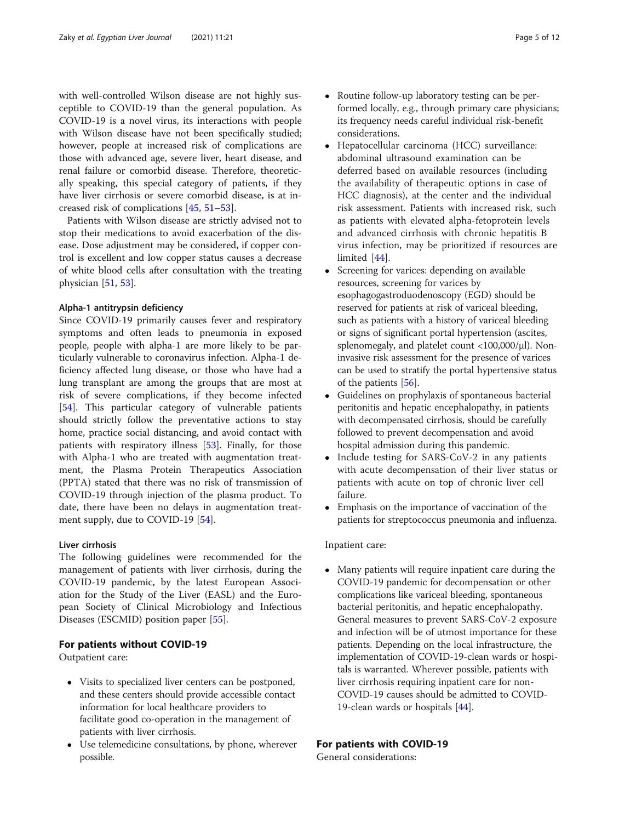with well-controlled Wilson disease are not highly susceptible to COVID-19 than the general population. As COVID-19 is a novel virus, its interactions with people with Wilson disease have not been specifically studied; however, people at increased risk of complications are those with advanced age, severe liver, heart disease, and renal failure or comorbid disease. Therefore, theoretically speaking, this special category of patients, if they have liver cirrhosis or severe comorbid disease, is at increased risk of complications [[45](#page-10-0), [51](#page-10-0)–[53](#page-10-0)].

Patients with Wilson disease are strictly advised not to stop their medications to avoid exacerbation of the disease. Dose adjustment may be considered, if copper control is excellent and low copper status causes a decrease of white blood cells after consultation with the treating physician [[51,](#page-10-0) [53\]](#page-10-0).

## Alpha-1 antitrypsin deficiency

Since COVID-19 primarily causes fever and respiratory symptoms and often leads to pneumonia in exposed people, people with alpha-1 are more likely to be particularly vulnerable to coronavirus infection. Alpha-1 deficiency affected lung disease, or those who have had a lung transplant are among the groups that are most at risk of severe complications, if they become infected [[54\]](#page-10-0). This particular category of vulnerable patients should strictly follow the preventative actions to stay home, practice social distancing, and avoid contact with patients with respiratory illness [\[53](#page-10-0)]. Finally, for those with Alpha-1 who are treated with augmentation treatment, the Plasma Protein Therapeutics Association (PPTA) stated that there was no risk of transmission of COVID-19 through injection of the plasma product. To date, there have been no delays in augmentation treat-ment supply, due to COVID-19 [\[54](#page-10-0)].

#### Liver cirrhosis

The following guidelines were recommended for the management of patients with liver cirrhosis, during the COVID-19 pandemic, by the latest European Association for the Study of the Liver (EASL) and the European Society of Clinical Microbiology and Infectious Diseases (ESCMID) position paper [[55\]](#page-10-0).

# For patients without COVID-19

Outpatient care:

- Visits to specialized liver centers can be postponed, and these centers should provide accessible contact information for local healthcare providers to facilitate good co-operation in the management of patients with liver cirrhosis.
- Use telemedicine consultations, by phone, wherever possible.
- Routine follow-up laboratory testing can be performed locally, e.g., through primary care physicians; its frequency needs careful individual risk-benefit considerations.
- Hepatocellular carcinoma (HCC) surveillance: abdominal ultrasound examination can be deferred based on available resources (including the availability of therapeutic options in case of HCC diagnosis), at the center and the individual risk assessment. Patients with increased risk, such as patients with elevated alpha-fetoprotein levels and advanced cirrhosis with chronic hepatitis B virus infection, may be prioritized if resources are limited [[44](#page-10-0)].
- Screening for varices: depending on available resources, screening for varices by esophagogastroduodenoscopy (EGD) should be reserved for patients at risk of variceal bleeding, such as patients with a history of variceal bleeding or signs of significant portal hypertension (ascites, splenomegaly, and platelet count <100,000/μl). Noninvasive risk assessment for the presence of varices can be used to stratify the portal hypertensive status of the patients [[56](#page-10-0)].
- Guidelines on prophylaxis of spontaneous bacterial peritonitis and hepatic encephalopathy, in patients with decompensated cirrhosis, should be carefully followed to prevent decompensation and avoid hospital admission during this pandemic.
- Include testing for SARS-CoV-2 in any patients with acute decompensation of their liver status or patients with acute on top of chronic liver cell failure.
- Emphasis on the importance of vaccination of the patients for streptococcus pneumonia and influenza.

## Inpatient care:

 Many patients will require inpatient care during the COVID-19 pandemic for decompensation or other complications like variceal bleeding, spontaneous bacterial peritonitis, and hepatic encephalopathy. General measures to prevent SARS-CoV-2 exposure and infection will be of utmost importance for these patients. Depending on the local infrastructure, the implementation of COVID-19-clean wards or hospitals is warranted. Wherever possible, patients with liver cirrhosis requiring inpatient care for non-COVID-19 causes should be admitted to COVID-19-clean wards or hospitals [\[44\]](#page-10-0).

# For patients with COVID-19

General considerations: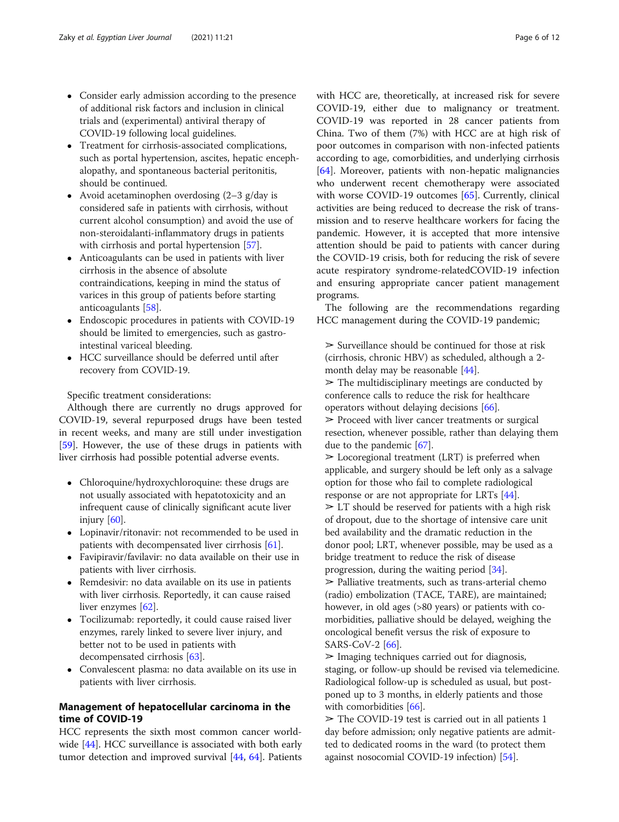- Consider early admission according to the presence of additional risk factors and inclusion in clinical trials and (experimental) antiviral therapy of COVID-19 following local guidelines.
- Treatment for cirrhosis-associated complications, such as portal hypertension, ascites, hepatic encephalopathy, and spontaneous bacterial peritonitis, should be continued.
- Avoid acetaminophen overdosing (2–3 g/day is considered safe in patients with cirrhosis, without current alcohol consumption) and avoid the use of non-steroidalanti-inflammatory drugs in patients with cirrhosis and portal hypertension [\[57\]](#page-10-0).
- Anticoagulants can be used in patients with liver cirrhosis in the absence of absolute contraindications, keeping in mind the status of varices in this group of patients before starting anticoagulants [\[58](#page-10-0)].
- Endoscopic procedures in patients with COVID-19 should be limited to emergencies, such as gastrointestinal variceal bleeding.
- HCC surveillance should be deferred until after recovery from COVID-19.

Specific treatment considerations:

Although there are currently no drugs approved for COVID-19, several repurposed drugs have been tested in recent weeks, and many are still under investigation [[59\]](#page-10-0). However, the use of these drugs in patients with liver cirrhosis had possible potential adverse events.

- Chloroquine/hydroxychloroquine: these drugs are not usually associated with hepatotoxicity and an infrequent cause of clinically significant acute liver injury [\[60\]](#page-10-0).
- Lopinavir/ritonavir: not recommended to be used in patients with decompensated liver cirrhosis [[61](#page-10-0)].
- Favipiravir/favilavir: no data available on their use in patients with liver cirrhosis.
- Remdesivir: no data available on its use in patients with liver cirrhosis. Reportedly, it can cause raised liver enzymes [\[62](#page-10-0)].
- Tocilizumab: reportedly, it could cause raised liver enzymes, rarely linked to severe liver injury, and better not to be used in patients with decompensated cirrhosis [\[63\]](#page-10-0).
- Convalescent plasma: no data available on its use in patients with liver cirrhosis.

# Management of hepatocellular carcinoma in the time of COVID-19

HCC represents the sixth most common cancer world-wide [[44\]](#page-10-0). HCC surveillance is associated with both early tumor detection and improved survival [[44](#page-10-0), [64\]](#page-10-0). Patients with HCC are, theoretically, at increased risk for severe COVID-19, either due to malignancy or treatment. COVID-19 was reported in 28 cancer patients from China. Two of them (7%) with HCC are at high risk of poor outcomes in comparison with non-infected patients according to age, comorbidities, and underlying cirrhosis [[64\]](#page-10-0). Moreover, patients with non-hepatic malignancies who underwent recent chemotherapy were associated with worse COVID-19 outcomes [[65\]](#page-10-0). Currently, clinical activities are being reduced to decrease the risk of transmission and to reserve healthcare workers for facing the pandemic. However, it is accepted that more intensive attention should be paid to patients with cancer during the COVID-19 crisis, both for reducing the risk of severe acute respiratory syndrome-relatedCOVID-19 infection and ensuring appropriate cancer patient management programs.

The following are the recommendations regarding HCC management during the COVID-19 pandemic;

 $\geq$  Surveillance should be continued for those at risk (cirrhosis, chronic HBV) as scheduled, although a 2 month delay may be reasonable [\[44](#page-10-0)].

 $\geq$  The multidisciplinary meetings are conducted by conference calls to reduce the risk for healthcare operators without delaying decisions [\[66\]](#page-10-0).

 $\triangleright$  Proceed with liver cancer treatments or surgical resection, whenever possible, rather than delaying them due to the pandemic [\[67\]](#page-10-0).

 $\geq$  Locoregional treatment (LRT) is preferred when applicable, and surgery should be left only as a salvage option for those who fail to complete radiological response or are not appropriate for LRTs [\[44\]](#page-10-0).  $\geq$  LT should be reserved for patients with a high risk of dropout, due to the shortage of intensive care unit bed availability and the dramatic reduction in the donor pool; LRT, whenever possible, may be used as a bridge treatment to reduce the risk of disease progression, during the waiting period [\[34\]](#page-9-0).

 $\geq$  Palliative treatments, such as trans-arterial chemo (radio) embolization (TACE, TARE), are maintained; however, in old ages (>80 years) or patients with comorbidities, palliative should be delayed, weighing the oncological benefit versus the risk of exposure to SARS-CoV-2  $[66]$  $[66]$  $[66]$ .

 $\geq$  Imaging techniques carried out for diagnosis, staging, or follow-up should be revised via telemedicine. Radiological follow-up is scheduled as usual, but postponed up to 3 months, in elderly patients and those with comorbidities [\[66\]](#page-10-0).

 $\ge$  The COVID-19 test is carried out in all patients 1 day before admission; only negative patients are admitted to dedicated rooms in the ward (to protect them against nosocomial COVID-19 infection) [[54\]](#page-10-0).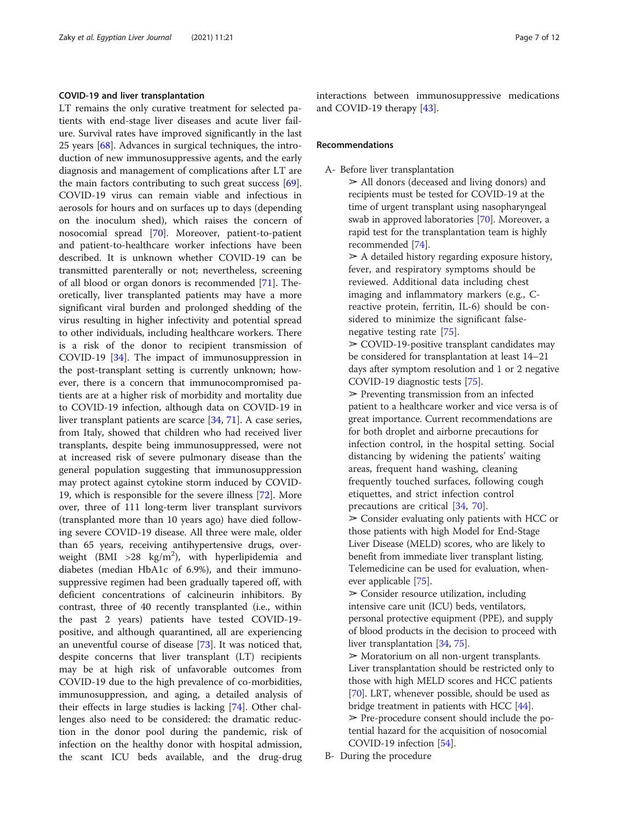## COVID-19 and liver transplantation

LT remains the only curative treatment for selected patients with end-stage liver diseases and acute liver failure. Survival rates have improved significantly in the last 25 years [\[68](#page-10-0)]. Advances in surgical techniques, the introduction of new immunosuppressive agents, and the early diagnosis and management of complications after LT are the main factors contributing to such great success [\[69](#page-10-0)]. COVID-19 virus can remain viable and infectious in aerosols for hours and on surfaces up to days (depending on the inoculum shed), which raises the concern of nosocomial spread [\[70\]](#page-10-0). Moreover, patient-to-patient and patient-to-healthcare worker infections have been described. It is unknown whether COVID-19 can be transmitted parenterally or not; nevertheless, screening of all blood or organ donors is recommended [\[71](#page-10-0)]. Theoretically, liver transplanted patients may have a more significant viral burden and prolonged shedding of the virus resulting in higher infectivity and potential spread to other individuals, including healthcare workers. There is a risk of the donor to recipient transmission of COVID-19 [\[34](#page-9-0)]. The impact of immunosuppression in the post-transplant setting is currently unknown; however, there is a concern that immunocompromised patients are at a higher risk of morbidity and mortality due to COVID-19 infection, although data on COVID-19 in liver transplant patients are scarce [\[34,](#page-9-0) [71\]](#page-10-0). A case series, from Italy, showed that children who had received liver transplants, despite being immunosuppressed, were not at increased risk of severe pulmonary disease than the general population suggesting that immunosuppression may protect against cytokine storm induced by COVID-19, which is responsible for the severe illness [[72\]](#page-10-0). More over, three of 111 long-term liver transplant survivors (transplanted more than 10 years ago) have died following severe COVID-19 disease. All three were male, older than 65 years, receiving antihypertensive drugs, overweight (BMI >28  $\text{kg/m}^2$ ), with hyperlipidemia and diabetes (median HbA1c of 6.9%), and their immunosuppressive regimen had been gradually tapered off, with deficient concentrations of calcineurin inhibitors. By contrast, three of 40 recently transplanted (i.e., within the past 2 years) patients have tested COVID-19 positive, and although quarantined, all are experiencing an uneventful course of disease [\[73](#page-10-0)]. It was noticed that, despite concerns that liver transplant (LT) recipients may be at high risk of unfavorable outcomes from COVID-19 due to the high prevalence of co-morbidities, immunosuppression, and aging, a detailed analysis of their effects in large studies is lacking [\[74](#page-10-0)]. Other challenges also need to be considered: the dramatic reduction in the donor pool during the pandemic, risk of infection on the healthy donor with hospital admission, the scant ICU beds available, and the drug-drug interactions between immunosuppressive medications and COVID-19 therapy [\[43](#page-10-0)].

## Recommendations

A- Before liver transplantation

➢ All donors (deceased and living donors) and recipients must be tested for COVID-19 at the time of urgent transplant using nasopharyngeal swab in approved laboratories [\[70\]](#page-10-0). Moreover, a rapid test for the transplantation team is highly recommended [\[74\]](#page-10-0).

 $\geq$  A detailed history regarding exposure history, fever, and respiratory symptoms should be reviewed. Additional data including chest imaging and inflammatory markers (e.g., Creactive protein, ferritin, IL-6) should be considered to minimize the significant falsenegative testing rate [\[75\]](#page-10-0).

 $\geq$  COVID-19-positive transplant candidates may be considered for transplantation at least 14–21 days after symptom resolution and 1 or 2 negative COVID-19 diagnostic tests [\[75\]](#page-10-0).

 $\triangleright$  Preventing transmission from an infected patient to a healthcare worker and vice versa is of great importance. Current recommendations are for both droplet and airborne precautions for infection control, in the hospital setting. Social distancing by widening the patients' waiting areas, frequent hand washing, cleaning frequently touched surfaces, following cough etiquettes, and strict infection control precautions are critical [[34](#page-9-0), [70](#page-10-0)].

 $\geq$  Consider evaluating only patients with HCC or those patients with high Model for End-Stage Liver Disease (MELD) scores, who are likely to benefit from immediate liver transplant listing. Telemedicine can be used for evaluation, whenever applicable [\[75\]](#page-10-0).

 $\geq$  Consider resource utilization, including intensive care unit (ICU) beds, ventilators, personal protective equipment (PPE), and supply of blood products in the decision to proceed with liver transplantation [[34](#page-9-0), [75\]](#page-10-0).

 $\geq$  Moratorium on all non-urgent transplants. Liver transplantation should be restricted only to those with high MELD scores and HCC patients [[70](#page-10-0)]. LRT, whenever possible, should be used as bridge treatment in patients with HCC [[44](#page-10-0)].  $\triangleright$  Pre-procedure consent should include the potential hazard for the acquisition of nosocomial COVID-19 infection [[54\]](#page-10-0).

B- During the procedure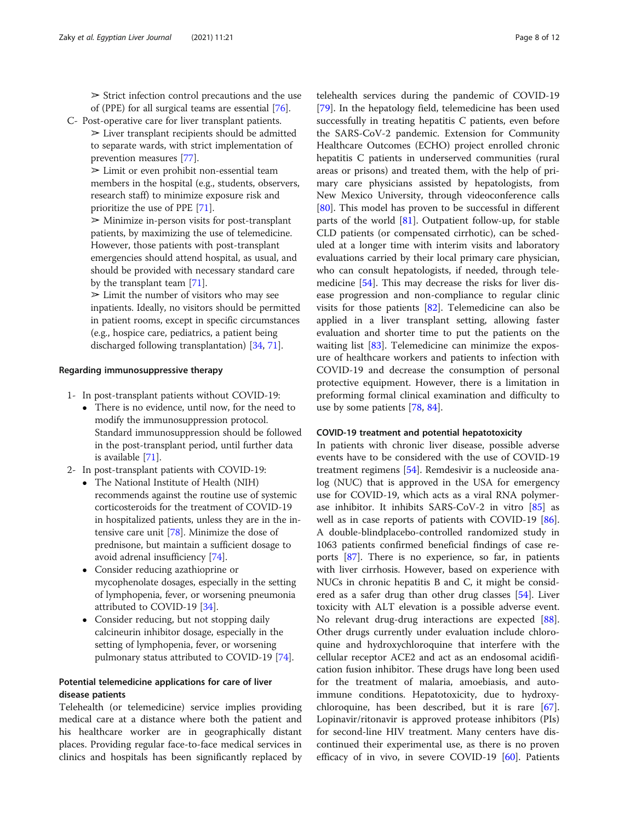$\triangleright$  Strict infection control precautions and the use of (PPE) for all surgical teams are essential [\[76\]](#page-10-0).

C- Post-operative care for liver transplant patients.

 $\geq$  Liver transplant recipients should be admitted to separate wards, with strict implementation of prevention measures [[77](#page-10-0)].

 $\geq$  Limit or even prohibit non-essential team members in the hospital (e.g., students, observers, research staff) to minimize exposure risk and prioritize the use of PPE [[71](#page-10-0)].

 $\geq$  Minimize in-person visits for post-transplant patients, by maximizing the use of telemedicine. However, those patients with post-transplant emergencies should attend hospital, as usual, and should be provided with necessary standard care by the transplant team [[71](#page-10-0)].

 $\geq$  Limit the number of visitors who may see inpatients. Ideally, no visitors should be permitted in patient rooms, except in specific circumstances (e.g., hospice care, pediatrics, a patient being discharged following transplantation) [\[34,](#page-9-0) [71](#page-10-0)].

## Regarding immunosuppressive therapy

- 1- In post-transplant patients without COVID-19:
	- There is no evidence, until now, for the need to modify the immunosuppression protocol. Standard immunosuppression should be followed in the post-transplant period, until further data is available [[71](#page-10-0)].
- 2- In post-transplant patients with COVID-19:
	- The National Institute of Health (NIH) recommends against the routine use of systemic corticosteroids for the treatment of COVID-19 in hospitalized patients, unless they are in the intensive care unit [[78](#page-10-0)]. Minimize the dose of prednisone, but maintain a sufficient dosage to avoid adrenal insufficiency [\[74\]](#page-10-0).
	- Consider reducing azathioprine or mycophenolate dosages, especially in the setting of lymphopenia, fever, or worsening pneumonia attributed to COVID-19 [\[34](#page-9-0)].
	- Consider reducing, but not stopping daily calcineurin inhibitor dosage, especially in the setting of lymphopenia, fever, or worsening pulmonary status attributed to COVID-19 [\[74\]](#page-10-0).

# Potential telemedicine applications for care of liver disease patients

Telehealth (or telemedicine) service implies providing medical care at a distance where both the patient and his healthcare worker are in geographically distant places. Providing regular face-to-face medical services in clinics and hospitals has been significantly replaced by

telehealth services during the pandemic of COVID-19 [[79\]](#page-11-0). In the hepatology field, telemedicine has been used successfully in treating hepatitis C patients, even before the SARS-CoV-2 pandemic. Extension for Community Healthcare Outcomes (ECHO) project enrolled chronic hepatitis C patients in underserved communities (rural areas or prisons) and treated them, with the help of primary care physicians assisted by hepatologists, from New Mexico University, through videoconference calls [[80\]](#page-11-0). This model has proven to be successful in different parts of the world [\[81](#page-11-0)]. Outpatient follow-up, for stable CLD patients (or compensated cirrhotic), can be scheduled at a longer time with interim visits and laboratory evaluations carried by their local primary care physician, who can consult hepatologists, if needed, through telemedicine [[54](#page-10-0)]. This may decrease the risks for liver disease progression and non-compliance to regular clinic visits for those patients [\[82](#page-11-0)]. Telemedicine can also be applied in a liver transplant setting, allowing faster evaluation and shorter time to put the patients on the waiting list [\[83](#page-11-0)]. Telemedicine can minimize the exposure of healthcare workers and patients to infection with COVID-19 and decrease the consumption of personal protective equipment. However, there is a limitation in preforming formal clinical examination and difficulty to use by some patients [\[78](#page-10-0), [84\]](#page-11-0).

#### COVID-19 treatment and potential hepatotoxicity

In patients with chronic liver disease, possible adverse events have to be considered with the use of COVID-19 treatment regimens [\[54\]](#page-10-0). Remdesivir is a nucleoside analog (NUC) that is approved in the USA for emergency use for COVID-19, which acts as a viral RNA polymerase inhibitor. It inhibits SARS-CoV-2 in vitro [\[85\]](#page-11-0) as well as in case reports of patients with COVID-19 [\[86](#page-11-0)]. A double-blindplacebo-controlled randomized study in 1063 patients confirmed beneficial findings of case reports [[87\]](#page-11-0). There is no experience, so far, in patients with liver cirrhosis. However, based on experience with NUCs in chronic hepatitis B and C, it might be considered as a safer drug than other drug classes [[54\]](#page-10-0). Liver toxicity with ALT elevation is a possible adverse event. No relevant drug-drug interactions are expected [\[88](#page-11-0)]. Other drugs currently under evaluation include chloroquine and hydroxychloroquine that interfere with the cellular receptor ACE2 and act as an endosomal acidification fusion inhibitor. These drugs have long been used for the treatment of malaria, amoebiasis, and autoimmune conditions. Hepatotoxicity, due to hydroxychloroquine, has been described, but it is rare [\[67](#page-10-0)]. Lopinavir/ritonavir is approved protease inhibitors (PIs) for second-line HIV treatment. Many centers have discontinued their experimental use, as there is no proven efficacy of in vivo, in severe COVID-19  $[60]$ . Patients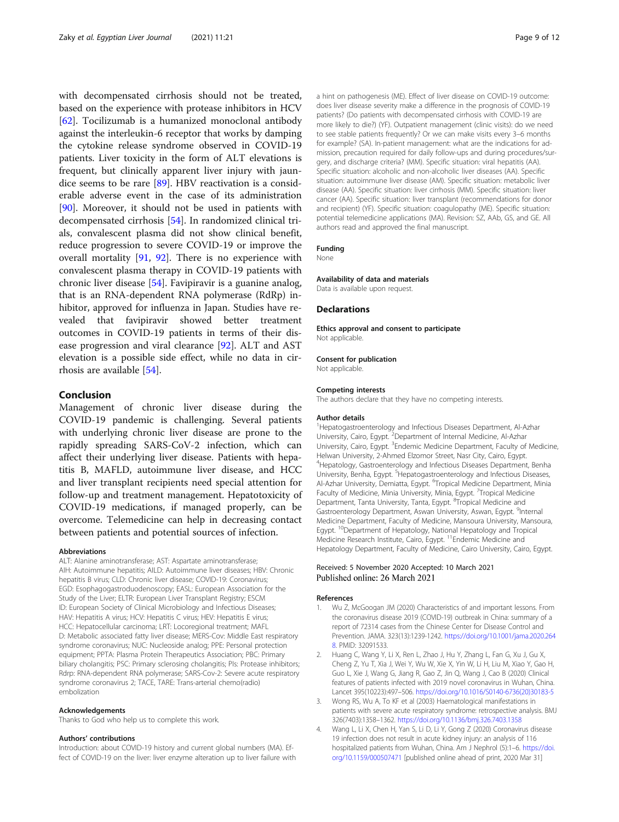<span id="page-8-0"></span>with decompensated cirrhosis should not be treated, based on the experience with protease inhibitors in HCV [[62\]](#page-10-0). Tocilizumab is a humanized monoclonal antibody against the interleukin-6 receptor that works by damping the cytokine release syndrome observed in COVID-19 patients. Liver toxicity in the form of ALT elevations is frequent, but clinically apparent liver injury with jaundice seems to be rare [[89\]](#page-11-0). HBV reactivation is a considerable adverse event in the case of its administration [[90\]](#page-11-0). Moreover, it should not be used in patients with decompensated cirrhosis [\[54\]](#page-10-0). In randomized clinical trials, convalescent plasma did not show clinical benefit, reduce progression to severe COVID-19 or improve the overall mortality [\[91](#page-11-0), [92\]](#page-11-0). There is no experience with convalescent plasma therapy in COVID-19 patients with chronic liver disease [[54\]](#page-10-0). Favipiravir is a guanine analog, that is an RNA-dependent RNA polymerase (RdRp) inhibitor, approved for influenza in Japan. Studies have revealed that favipiravir showed better treatment outcomes in COVID-19 patients in terms of their disease progression and viral clearance [\[92](#page-11-0)]. ALT and AST elevation is a possible side effect, while no data in cirrhosis are available [\[54](#page-10-0)].

# Conclusion

Management of chronic liver disease during the COVID-19 pandemic is challenging. Several patients with underlying chronic liver disease are prone to the rapidly spreading SARS-CoV-2 infection, which can affect their underlying liver disease. Patients with hepatitis B, MAFLD, autoimmune liver disease, and HCC and liver transplant recipients need special attention for follow-up and treatment management. Hepatotoxicity of COVID-19 medications, if managed properly, can be overcome. Telemedicine can help in decreasing contact between patients and potential sources of infection.

#### Abbreviations

ALT: Alanine aminotransferase; AST: Aspartate aminotransferase; AIH: Autoimmune hepatitis; AILD: Autoimmune liver diseases; HBV: Chronic hepatitis B virus; CLD: Chronic liver disease; COVID-19: Coronavirus; EGD: Esophagogastroduodenoscopy; EASL: European Association for the Study of the Liver; ELTR: European Liver Transplant Registry; ESCM ID: European Society of Clinical Microbiology and Infectious Diseases; HAV: Hepatitis A virus; HCV: Hepatitis C virus; HEV: Hepatitis E virus; HCC: Hepatocellular carcinoma; LRT: Locoregional treatment; MAFL D: Metabolic associated fatty liver disease; MERS-Cov: Middle East respiratory syndrome coronavirus; NUC: Nucleoside analog; PPE: Personal protection equipment; PPTA: Plasma Protein Therapeutics Association; PBC: Primary biliary cholangitis; PSC: Primary sclerosing cholangitis; PIs: Protease inhibitors; Rdrp: RNA-dependent RNA polymerase; SARS-Cov-2: Severe acute respiratory syndrome coronavirus 2; TACE, TARE: Trans-arterial chemo(radio) embolization

#### Acknowledgements

Thanks to God who help us to complete this work.

#### Authors' contributions

Introduction: about COVID-19 history and current global numbers (MA). Effect of COVID-19 on the liver: liver enzyme alteration up to liver failure with a hint on pathogenesis (ME). Effect of liver disease on COVID-19 outcome: does liver disease severity make a difference in the prognosis of COVID-19 patients? (Do patients with decompensated cirrhosis with COVID-19 are more likely to die?) (YF). Outpatient management (clinic visits): do we need to see stable patients frequently? Or we can make visits every 3–6 months for example? (SA). In-patient management: what are the indications for admission, precaution required for daily follow-ups and during procedures/surgery, and discharge criteria? (MM). Specific situation: viral hepatitis (AA). Specific situation: alcoholic and non-alcoholic liver diseases (AA). Specific situation: autoimmune liver disease (AM). Specific situation: metabolic liver disease (AA). Specific situation: liver cirrhosis (MM). Specific situation: liver cancer (AA). Specific situation: liver transplant (recommendations for donor and recipient) (YF). Specific situation: coagulopathy (ME). Specific situation: potential telemedicine applications (MA). Revision: SZ, AAb, GS, and GE. All authors read and approved the final manuscript.

## Funding

None

#### Availability of data and materials

Data is available upon request.

#### **Declarations**

Ethics approval and consent to participate Not applicable.

#### Consent for publication

Not applicable.

#### Competing interests

The authors declare that they have no competing interests.

#### Author details

<sup>1</sup>Hepatogastroenterology and Infectious Diseases Department, Al-Azhar University, Cairo, Egypt. <sup>2</sup> Department of Internal Medicine, Al-Azhar University, Cairo, Egypt. <sup>3</sup>Endemic Medicine Department, Faculty of Medicine, Helwan University, 2-Ahmed Elzomor Street, Nasr City, Cairo, Egypt. 4 Hepatology, Gastroenterology and Infectious Diseases Department, Benha University, Benha, Egypt. <sup>5</sup>Hepatogastroenterology and Infectious Diseases, Al-Azhar University, Demiatta, Egypt. <sup>6</sup>Tropical Medicine Department, Minia Faculty of Medicine, Minia University, Minia, Egypt. <sup>7</sup>Tropical Medicine Department, Tanta University, Tanta, Egypt. <sup>8</sup>Tropical Medicine and Gastroenterology Department, Aswan University, Aswan, Egypt. <sup>9</sup>Internal Medicine Department, Faculty of Medicine, Mansoura University, Mansoura, Egypt. <sup>10</sup>Department of Hepatology, National Hepatology and Tropical Medicine Research Institute, Cairo, Egypt. 11Endemic Medicine and Hepatology Department, Faculty of Medicine, Cairo University, Cairo, Egypt.

## Received: 5 November 2020 Accepted: 10 March 2021 Published online: 26 March 2021

#### References

- Wu Z, McGoogan JM (2020) Characteristics of and important lessons. From the coronavirus disease 2019 (COVID-19) outbreak in China: summary of a report of 72314 cases from the Chinese Center for Disease Control and Prevention. JAMA. 323(13):1239-1242. [https://doi.org/10.1001/jama.2020.264](https://doi.org/10.1001/jama.2020.2648) [8](https://doi.org/10.1001/jama.2020.2648). PMID: 32091533.
- 2. Huang C, Wang Y, Li X, Ren L, Zhao J, Hu Y, Zhang L, Fan G, Xu J, Gu X, Cheng Z, Yu T, Xia J, Wei Y, Wu W, Xie X, Yin W, Li H, Liu M, Xiao Y, Gao H, Guo L, Xie J, Wang G, Jiang R, Gao Z, Jin Q, Wang J, Cao B (2020) Clinical features of patients infected with 2019 novel coronavirus in Wuhan, China. Lancet 395(10223):497–506. [https://doi.org/10.1016/S0140-6736\(20\)30183-5](https://doi.org/10.1016/S0140-6736(20)30183-5)
- 3. Wong RS, Wu A, To KF et al (2003) Haematological manifestations in patients with severe acute respiratory syndrome: retrospective analysis. BMJ 326(7403):1358–1362. <https://doi.org/10.1136/bmj.326.7403.1358>
- 4. Wang L, Li X, Chen H, Yan S, Li D, Li Y, Gong Z (2020) Coronavirus disease 19 infection does not result in acute kidney injury: an analysis of 116 hospitalized patients from Wuhan, China. Am J Nephrol (5):1–6. [https://doi.](https://doi.org/10.1159/000507471) [org/10.1159/000507471](https://doi.org/10.1159/000507471) [published online ahead of print, 2020 Mar 31]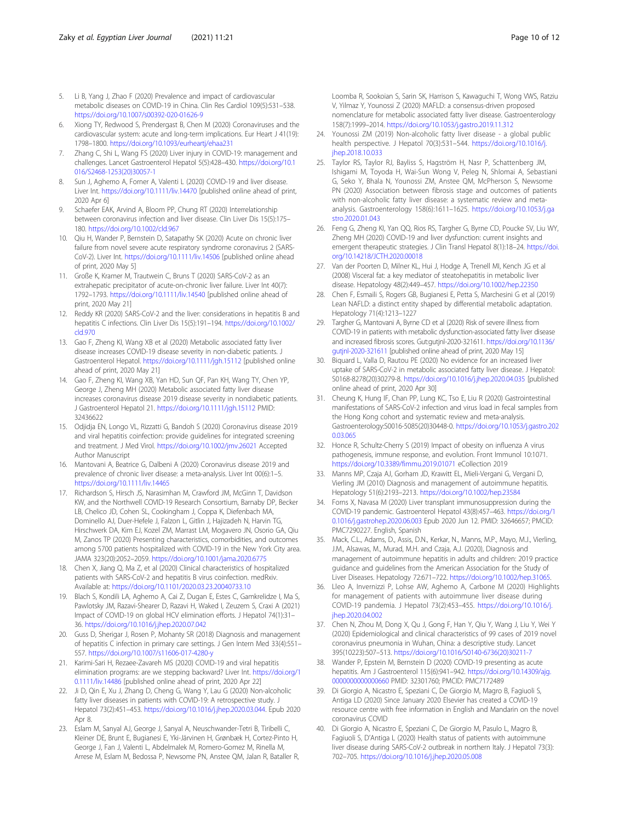- <span id="page-9-0"></span>5. Li B, Yang J, Zhao F (2020) Prevalence and impact of cardiovascular metabolic diseases on COVID-19 in China. Clin Res Cardiol 109(5):531–538. <https://doi.org/10.1007/s00392-020-01626-9>
- 6. Xiong TY, Redwood S, Prendergast B, Chen M (2020) Coronaviruses and the cardiovascular system: acute and long-term implications. Eur Heart J 41(19): 1798–1800. <https://doi.org/10.1093/eurheartj/ehaa231>
- 7. Zhang C, Shi L, Wang FS (2020) Liver injury in COVID-19: management and challenges. Lancet Gastroenterol Hepatol 5(5):428–430. [https://doi.org/10.1](https://doi.org/10.1016/S2468-1253(20)30057-1) [016/S2468-1253\(20\)30057-1](https://doi.org/10.1016/S2468-1253(20)30057-1)
- Sun J, Aghemo A, Forner A, Valenti L (2020) COVID-19 and liver disease. Liver Int. <https://doi.org/10.1111/liv.14470> [published online ahead of print, 2020 Apr 6]
- 9. Schaefer EAK, Arvind A, Bloom PP, Chung RT (2020) Interrelationship between coronavirus infection and liver disease. Clin Liver Dis 15(5):175– 180. <https://doi.org/10.1002/cld.967>
- 10. Qiu H, Wander P, Bernstein D, Satapathy SK (2020) Acute on chronic liver failure from novel severe acute respiratory syndrome coronavirus 2 (SARS-CoV-2). Liver Int. <https://doi.org/10.1111/liv.14506> [published online ahead of print, 2020 May 5]
- 11. Große K, Kramer M, Trautwein C, Bruns T (2020) SARS-CoV-2 as an extrahepatic precipitator of acute-on-chronic liver failure. Liver Int 40(7): 1792–1793. <https://doi.org/10.1111/liv.14540> [published online ahead of print, 2020 May 21]
- 12. Reddy KR (2020) SARS-CoV-2 and the liver: considerations in hepatitis B and hepatitis C infections. Clin Liver Dis 15(5):191–194. [https://doi.org/10.1002/](https://doi.org/10.1002/cld.970) [cld.970](https://doi.org/10.1002/cld.970)
- 13. Gao F, Zheng KI, Wang XB et al (2020) Metabolic associated fatty liver disease increases COVID-19 disease severity in non-diabetic patients. J Gastroenterol Hepatol. <https://doi.org/10.1111/jgh.15112> [published online ahead of print, 2020 May 21]
- 14. Gao F, Zheng KI, Wang XB, Yan HD, Sun QF, Pan KH, Wang TY, Chen YP, George J, Zheng MH (2020) Metabolic associated fatty liver disease increases coronavirus disease 2019 disease severity in nondiabetic patients. J Gastroenterol Hepatol 21. <https://doi.org/10.1111/jgh.15112> PMID: 32436622
- 15. Odjidja EN, Longo VL, Rizzatti G, Bandoh S (2020) Coronavirus disease 2019 and viral hepatitis coinfection: provide guidelines for integrated screening and treatment. J Med Virol. <https://doi.org/10.1002/jmv.26021> Accepted Author Manuscript
- 16. Mantovani A, Beatrice G, Dalbeni A (2020) Coronavirus disease 2019 and prevalence of chronic liver disease: a meta-analysis. Liver Int 00(6):1–5. <https://doi.org/10.1111/liv.14465>
- 17. Richardson S, Hirsch JS, Narasimhan M, Crawford JM, McGinn T, Davidson KW, and the Northwell COVID-19 Research Consortium, Barnaby DP, Becker LB, Chelico JD, Cohen SL, Cookingham J, Coppa K, Diefenbach MA, Dominello AJ, Duer-Hefele J, Falzon L, Gitlin J, Hajizadeh N, Harvin TG, Hirschwerk DA, Kim EJ, Kozel ZM, Marrast LM, Mogavero JN, Osorio GA, Qiu M, Zanos TP (2020) Presenting characteristics, comorbidities, and outcomes among 5700 patients hospitalized with COVID-19 in the New York City area. JAMA 323(20):2052–2059. <https://doi.org/10.1001/jama.2020.6775>
- 18. Chen X, Jiang Q, Ma Z, et al (2020) Clinical characteristics of hospitalized patients with SARS-CoV-2 and hepatitis B virus coinfection. medRxiv. Available at: <https://doi.org/10.1101/2020.03.23.20040733.10>
- 19. Blach S, Kondili LA, Aghemo A, Cai Z, Dugan E, Estes C, Gamkrelidze I, Ma S, Pawlotsky JM, Razavi-Shearer D, Razavi H, Waked I, Zeuzem S, Craxi A (2021) Impact of COVID-19 on global HCV elimination efforts. J Hepatol 74(1):31– 36. <https://doi.org/10.1016/j.jhep.2020.07.042>
- 20. Guss D, Sherigar J, Rosen P, Mohanty SR (2018) Diagnosis and management of hepatitis C infection in primary care settings. J Gen Intern Med 33(4):551– 557. <https://doi.org/10.1007/s11606-017-4280-y>
- 21. Karimi-Sari H, Rezaee-Zavareh MS (2020) COVID-19 and viral hepatitis elimination programs: are we stepping backward? Liver Int. [https://doi.org/1](https://doi.org/10.1111/liv.14486) [0.1111/liv.14486](https://doi.org/10.1111/liv.14486) [published online ahead of print, 2020 Apr 22]
- 22. Ji D, Qin E, Xu J, Zhang D, Cheng G, Wang Y, Lau G (2020) Non-alcoholic fatty liver diseases in patients with COVID-19: A retrospective study. J Hepatol 73(2):451–453. <https://doi.org/10.1016/j.jhep.2020.03.044>. Epub 2020 Apr 8.
- 23. Eslam M, Sanyal AJ, George J, Sanyal A, Neuschwander-Tetri B, Tiribelli C, Kleiner DE, Brunt E, Bugianesi E, Yki-Järvinen H, Grønbæk H, Cortez-Pinto H, George J, Fan J, Valenti L, Abdelmalek M, Romero-Gomez M, Rinella M, Arrese M, Eslam M, Bedossa P, Newsome PN, Anstee QM, Jalan R, Bataller R,

Loomba R, Sookoian S, Sarin SK, Harrison S, Kawaguchi T, Wong VWS, Ratziu V, Yilmaz Y, Younossi Z (2020) MAFLD: a consensus-driven proposed nomenclature for metabolic associated fatty liver disease. Gastroenterology 158(7):1999–2014. <https://doi.org/10.1053/j.gastro.2019.11.312>

- 24. Younossi ZM (2019) Non-alcoholic fatty liver disease a global public health perspective. J Hepatol 70(3):531–544. [https://doi.org/10.1016/j.](https://doi.org/10.1016/j.jhep.2018.10.033) ihep.2018.10.033
- 25. Taylor RS, Taylor RJ, Bayliss S, Hagström H, Nasr P, Schattenberg JM, Ishigami M, Toyoda H, Wai-Sun Wong V, Peleg N, Shlomai A, Sebastiani G, Seko Y, Bhala N, Younossi ZM, Anstee QM, McPherson S, Newsome PN (2020) Association between fibrosis stage and outcomes of patients with non-alcoholic fatty liver disease: a systematic review and metaanalysis. Gastroenterology 158(6):1611–1625. [https://doi.org/10.1053/j.ga](https://doi.org/10.1053/j.gastro.2020.01.043) [stro.2020.01.043](https://doi.org/10.1053/j.gastro.2020.01.043)
- 26. Feng G, Zheng KI, Yan QQ, Rios RS, Targher G, Byrne CD, Poucke SV, Liu WY, Zheng MH (2020) COVID-19 and liver dysfunction: current insights and emergent therapeutic strategies. J Clin Transl Hepatol 8(1):18–24. [https://doi.](https://doi.org/10.14218/JCTH.2020.00018) [org/10.14218/JCTH.2020.00018](https://doi.org/10.14218/JCTH.2020.00018)
- 27. Van der Poorten D, Milner KL, Hui J, Hodge A, Trenell MI, Kench JG et al (2008) Visceral fat: a key mediator of steatohepatitis in metabolic liver disease. Hepatology 48(2):449–457. <https://doi.org/10.1002/hep.22350>
- 28. Chen F, Esmaili S, Rogers GB, Bugianesi E, Petta S, Marchesini G et al (2019) Lean NAFLD: a distinct entity shaped by differential metabolic adaptation. Hepatology 71(4):1213–1227
- 29. Targher G, Mantovani A, Byrne CD et al (2020) Risk of severe illness from COVID-19 in patients with metabolic dysfunction-associated fatty liver disease and increased fibrosis scores. Gut:gutjnl-2020-321611. [https://doi.org/10.1136/](https://doi.org/10.1136/gutjnl-2020-321611) [gutjnl-2020-321611](https://doi.org/10.1136/gutjnl-2020-321611) [published online ahead of print, 2020 May 15]
- 30. Biquard L, Valla D, Rautou PE (2020) No evidence for an increased liver uptake of SARS-CoV-2 in metabolic associated fatty liver disease. J Hepatol: S0168-8278(20)30279-8. <https://doi.org/10.1016/j.jhep.2020.04.035> [published online ahead of print, 2020 Apr 30]
- 31. Cheung K, Hung IF, Chan PP, Lung KC, Tso E, Liu R (2020) Gastrointestinal manifestations of SARS-CoV-2 infection and virus load in fecal samples from the Hong Kong cohort and systematic review and meta-analysis. Gastroenterology:S0016-5085(20)30448-0. [https://doi.org/10.1053/j.gastro.202](https://doi.org/10.1053/j.gastro.2020.03.065) [0.03.065](https://doi.org/10.1053/j.gastro.2020.03.065)
- 32. Honce R, Schultz-Cherry S (2019) Impact of obesity on influenza A virus pathogenesis, immune response, and evolution. Front Immunol 10:1071. <https://doi.org/10.3389/fimmu.2019.01071> eCollection 2019
- 33. Manns MP, Czaja AJ, Gorham JD, Krawitt EL, Mieli-Vergani G, Vergani D, Vierling JM (2010) Diagnosis and management of autoimmune hepatitis. Hepatology 51(6):2193–2213. <https://doi.org/10.1002/hep.23584>
- 34. Forns X, Navasa M (2020) Liver transplant immunosuppression during the COVID-19 pandemic. Gastroenterol Hepatol 43(8):457–463. [https://doi.org/1](https://doi.org/10.1016/j.gastrohep.2020.06.003) [0.1016/j.gastrohep.2020.06.003](https://doi.org/10.1016/j.gastrohep.2020.06.003) Epub 2020 Jun 12. PMID: 32646657; PMCID: PMC7290227. English, Spanish
- 35. Mack, C.L., Adams, D., Assis, D.N., Kerkar, N., Manns, M.P., Mayo, M.J., Vierling, J.M., Alsawas, M., Murad, M.H. and Czaja, A.J. (2020), Diagnosis and management of autoimmune hepatitis in adults and children: 2019 practice guidance and guidelines from the American Association for the Study of Liver Diseases. Hepatology 72:671–722. [https://doi.org/10.1002/hep.31065.](https://doi.org/10.1002/hep.31065)
- 36. Lleo A, Invernizzi P, Lohse AW, Aghemo A, Carbone M (2020) Highlights for management of patients with autoimmune liver disease during COVID-19 pandemia. J Hepatol 73(2):453–455. [https://doi.org/10.1016/j.](https://doi.org/10.1016/j.jhep.2020.04.002) ihep.2020.04.002
- 37. Chen N, Zhou M, Dong X, Qu J, Gong F, Han Y, Qiu Y, Wang J, Liu Y, Wei Y (2020) Epidemiological and clinical characteristics of 99 cases of 2019 novel coronavirus pneumonia in Wuhan, China: a descriptive study. Lancet 395(10223):507–513. [https://doi.org/10.1016/S0140-6736\(20\)30211-7](https://doi.org/10.1016/S0140-6736(20)30211-7)
- 38. Wander P, Epstein M, Bernstein D (2020) COVID-19 presenting as acute hepatitis. Am J Gastroenterol 115(6):941–942. [https://doi.org/10.14309/ajg.](https://doi.org/10.14309/ajg.0000000000000660) [0000000000000660](https://doi.org/10.14309/ajg.0000000000000660) PMID: 32301760; PMCID: PMC7172489
- 39. Di Giorgio A, Nicastro E, Speziani C, De Giorgio M, Magro B, Fagiuoli S, Antiga LD (2020) Since January 2020 Elsevier has created a COVID-19 resource centre with free information in English and Mandarin on the novel coronavirus COVID
- 40. Di Giorgio A, Nicastro E, Speziani C, De Giorgio M, Pasulo L, Magro B, Fagiuoli S, D'Antiga L (2020) Health status of patients with autoimmune liver disease during SARS-CoV-2 outbreak in northern Italy. J Hepatol 73(3): 702–705. <https://doi.org/10.1016/j.jhep.2020.05.008>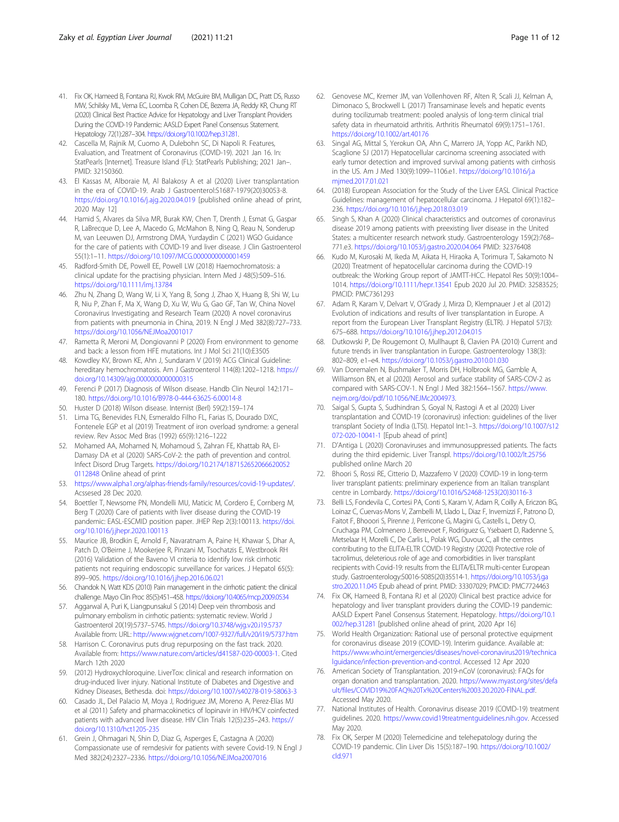- <span id="page-10-0"></span>41. Fix OK, Hameed B, Fontana RJ, Kwok RM, McGuire BM, Mulligan DC, Pratt DS, Russo MW, Schilsky ML, Verna EC, Loomba R, Cohen DE, Bezerra JA, Reddy KR, Chung RT (2020) Clinical Best Practice Advice for Hepatology and Liver Transplant Providers During the COVID-19 Pandemic: AASLD Expert Panel Consensus Statement. Hepatology 72(1):287–304. [https://doi.org/10.1002/hep.31281.](https://doi.org/10.1002/hep.31281)
- 42. Cascella M, Rajnik M, Cuomo A, Dulebohn SC, Di Napoli R. Features, Evaluation, and Treatment of Coronavirus (COVID-19). 2021 Jan 16. In: StatPearls [Internet]. Treasure Island (FL): StatPearls Publishing; 2021 Jan-. PMID: 32150360.
- 43. El Kassas M, Alboraie M, Al Balakosy A et al (2020) Liver transplantation in the era of COVID-19. Arab J Gastroenterol:S1687-1979(20)30053-8. <https://doi.org/10.1016/j.ajg.2020.04.019> [published online ahead of print, 2020 May 12]
- 44. Hamid S, Alvares da Silva MR, Burak KW, Chen T, Drenth J, Esmat G, Gaspar R, LaBrecque D, Lee A, Macedo G, McMahon B, Ning Q, Reau N, Sonderup M, van Leeuwen DJ, Armstrong DMA, Yurdaydin C (2021) WGO Guidance for the care of patients with COVID-19 and liver disease. J Clin Gastroenterol 55(1):1–11. <https://doi.org/10.1097/MCG.0000000000001459>
- 45. Radford-Smith DE, Powell EE, Powell LW (2018) Haemochromatosis: a clinical update for the practising physician. Intern Med J 48(5):509–516. <https://doi.org/10.1111/imj.13784>
- 46. Zhu N, Zhang D, Wang W, Li X, Yang B, Song J, Zhao X, Huang B, Shi W, Lu R, Niu P, Zhan F, Ma X, Wang D, Xu W, Wu G, Gao GF, Tan W, China Novel Coronavirus Investigating and Research Team (2020) A novel coronavirus from patients with pneumonia in China, 2019. N Engl J Med 382(8):727–733. <https://doi.org/10.1056/NEJMoa2001017>
- 47. Rametta R, Meroni M, Dongiovanni P (2020) From environment to genome and back: a lesson from HFE mutations. Int J Mol Sci 21(10):E3505
- 48. Kowdley KV, Brown KE, Ahn J, Sundaram V (2019) ACG Clinical Guideline: hereditary hemochromatosis. Am J Gastroenterol 114(8):1202–1218. [https://](https://doi.org/10.14309/ajg.0000000000000315) [doi.org/10.14309/ajg.0000000000000315](https://doi.org/10.14309/ajg.0000000000000315)
- 49. Ferenci P (2017) Diagnosis of Wilson disease. Handb Clin Neurol 142:171– 180. <https://doi.org/10.1016/B978-0-444-63625-6.00014-8>
- 50. Huster D (2018) Wilson disease. Internist (Berl) 59(2):159–174
- 51. Lima TG, Benevides FLN, Esmeraldo Filho FL, Farias IS, Dourado DXC, Fontenele EGP et al (2019) Treatment of iron overload syndrome: a general review. Rev Assoc Med Bras (1992) 65(9):1216–1222
- 52. Mohamed AA, Mohamed N, Mohamoud S, Zahran FE, Khattab RA, El-Damasy DA et al (2020) SARS-CoV-2: the path of prevention and control. Infect Disord Drug Targets. [https://doi.org/10.2174/187152652066620052](https://doi.org/10.2174/1871526520666200520112848) [0112848](https://doi.org/10.2174/1871526520666200520112848) Online ahead of print
- 53. [https://www.alpha1.org/alphas-friends-family/resources/covid-19-updates/.](https://www.alpha1.org/alphas-friends-family/resources/covid-19-updates/) Acssesed 28 Dec 2020.
- 54. Boettler T, Newsome PN, Mondelli MU, Maticic M, Cordero E, Cornberg M, Berg T (2020) Care of patients with liver disease during the COVID-19 pandemic: EASL-ESCMID position paper. JHEP Rep 2(3):100113. [https://doi.](https://doi.org/10.1016/j.jhepr.2020.100113) [org/10.1016/j.jhepr.2020.100113](https://doi.org/10.1016/j.jhepr.2020.100113)
- 55. Maurice JB, Brodkin E, Arnold F, Navaratnam A, Paine H, Khawar S, Dhar A, Patch D, O'Beirne J, Mookerjee R, Pinzani M, Tsochatzis E, Westbrook RH (2016) Validation of the Baveno VI criteria to identify low risk cirrhotic patients not requiring endoscopic surveillance for varices. J Hepatol 65(5): 899–905. <https://doi.org/10.1016/j.jhep.2016.06.021>
- 56. Chandok N, Watt KDS (2010) Pain management in the cirrhotic patient: the clinical challenge. Mayo Clin Proc 85(5):451–458. <https://doi.org/10.4065/mcp.2009.0534>
- 57. Aggarwal A, Puri K, Liangpunsakul S (2014) Deep vein thrombosis and pulmonary embolism in cirrhotic patients: systematic review. World J Gastroenterol 20(19):5737–5745. <https://doi.org/10.3748/wjg.v20.i19.5737> Available from: URL: <http://www.wjgnet.com/1007-9327/full/v20/i19/5737.htm>
- 58. Harrison C. Coronavirus puts drug repurposing on the fast track. 2020. Available from: [https://www.nature.com/articles/d41587-020-00003-1.](https://www.nature.com/articles/d41587-020-00003-1) Cited March 12th 2020
- 59. (2012) Hydroxychloroquine. LiverTox: clinical and research information on drug-induced liver injury. National Institute of Diabetes and Digestive and Kidney Diseases, Bethesda. doi: <https://doi.org/10.1007/s40278-019-58063-3>
- 60. Casado JL, Del Palacio M, Moya J, Rodriguez JM, Moreno A, Perez-Elías MJ et al (2011) Safety and pharmacokinetics of lopinavir in HIV/HCV coinfected patients with advanced liver disease. HIV Clin Trials 12(5):235–243. [https://](https://doi.org/10.1310/hct1205-235) [doi.org/10.1310/hct1205-235](https://doi.org/10.1310/hct1205-235)
- 61. Grein J, Ohmagari N, Shin D, Diaz G, Asperges E, Castagna A (2020) Compassionate use of remdesivir for patients with severe Covid-19. N Engl J Med 382(24):2327–2336. <https://doi.org/10.1056/NEJMoa2007016>
- 62. Genovese MC, Kremer JM, van Vollenhoven RF, Alten R, Scali JJ, Kelman A, Dimonaco S, Brockwell L (2017) Transaminase levels and hepatic events during tocilizumab treatment: pooled analysis of long-term clinical trial safety data in rheumatoid arthritis. Arthritis Rheumatol 69(9):1751–1761. <https://doi.org/10.1002/art.40176>
- 63. Singal AG, Mittal S, Yerokun OA, Ahn C, Marrero JA, Yopp AC, Parikh ND, Scaglione SJ (2017) Hepatocellular carcinoma screening associated with early tumor detection and improved survival among patients with cirrhosis in the US. Am J Med 130(9):1099–1106.e1. [https://doi.org/10.1016/j.a](https://doi.org/10.1016/j.amjmed.2017.01.021) [mjmed.2017.01.021](https://doi.org/10.1016/j.amjmed.2017.01.021)
- 64. (2018) European Association for the Study of the Liver EASL Clinical Practice Guidelines: management of hepatocellular carcinoma. J Hepatol 69(1):182– 236. <https://doi.org/10.1016/j.jhep.2018.03.019>
- Singh S, Khan A (2020) Clinical characteristics and outcomes of coronavirus disease 2019 among patients with preexisting liver disease in the United States: a multicenter research network study. Gastroenterology 159(2):768– 771.e3. <https://doi.org/10.1053/j.gastro.2020.04.064> PMID: 32376408
- 66. Kudo M, Kurosaki M, Ikeda M, Aikata H, Hiraoka A, Torimura T, Sakamoto N (2020) Treatment of hepatocellular carcinoma during the COVID-19 outbreak: the Working Group report of JAMTT-HCC. Hepatol Res 50(9):1004– 1014. <https://doi.org/10.1111/hepr.13541> Epub 2020 Jul 20. PMID: 32583525; PMCID: PMC7361293
- 67. Adam R, Karam V, Delvart V, O'Grady J, Mirza D, Klempnauer J et al (2012) Evolution of indications and results of liver transplantation in Europe. A report from the European Liver Transplant Registry (ELTR). J Hepatol 57(3): 675–688. <https://doi.org/10.1016/j.jhep.2012.04.015>
- 68. Dutkowski P, De Rougemont O, Mullhaupt B, Clavien PA (2010) Current and future trends in liver transplantation in Europe. Gastroenterology 138(3): 802–809, e1–e4. <https://doi.org/10.1053/j.gastro.2010.01.030>
- 69. Van Doremalen N, Bushmaker T, Morris DH, Holbrook MG, Gamble A, Williamson BN, et al (2020) Aerosol and surface stability of SARS-COV-2 as compared with SARS-COV-1. N Engl J Med 382:1564–1567. [https://www.](https://www.nejm.org/doi/pdf/10.1056/NEJMc2004973) [nejm.org/doi/pdf/10.1056/NEJMc2004973.](https://www.nejm.org/doi/pdf/10.1056/NEJMc2004973)
- 70. Saigal S, Gupta S, Sudhindran S, Goyal N, Rastogi A et al (2020) Liver transplantation and COVID-19 (coronavirus) infection: guidelines of the liver transplant Society of India (LTSI). Hepatol Int:1–3. [https://doi.org/10.1007/s12](https://doi.org/10.1007/s12072-020-10041-1) [072-020-10041-1](https://doi.org/10.1007/s12072-020-10041-1) [Epub ahead of print]
- 71. D'Antiga L (2020) Coronaviruses and immunosuppressed patients. The facts during the third epidemic. Liver Transpl. <https://doi.org/10.1002/lt.25756> published online March 20
- 72. Bhoori S, Rossi RE, Citterio D, Mazzaferro V (2020) COVID-19 in long-term liver transplant patients: preliminary experience from an Italian transplant centre in Lombardy. [https://doi.org/10.1016/S2468-1253\(20\)30116-3](https://doi.org/10.1016/S2468-1253(20)30116-3)
- 73. Belli LS, Fondevila C, Cortesi PA, Conti S, Karam V, Adam R, Coilly A, Ericzon BG, Loinaz C, Cuervas-Mons V, Zambelli M, Llado L, Diaz F, Invernizzi F, Patrono D, Faitot F, Bhooori S, Pirenne J, Perricone G, Magini G, Castells L, Detry O, Cruchaga PM, Colmenero J, Berrevoet F, Rodriguez G, Ysebaert D, Radenne S, Metselaar H, Morelli C, De Carlis L, Polak WG, Duvoux C, all the centres contributing to the ELITA-ELTR COVID-19 Registry (2020) Protective role of tacrolimus, deleterious role of age and comorbidities in liver transplant recipients with Covid-19: results from the ELITA/ELTR multi-center European study. Gastroenterology:S0016-5085(20)35514-1. [https://doi.org/10.1053/j.ga](https://doi.org/10.1053/j.gastro.2020.11.045) [stro.2020.11.045](https://doi.org/10.1053/j.gastro.2020.11.045) Epub ahead of print. PMID: 33307029; PMCID: PMC7724463
- 74. Fix OK, Hameed B, Fontana RJ et al (2020) Clinical best practice advice for hepatology and liver transplant providers during the COVID-19 pandemic: AASLD Expert Panel Consensus Statement. Hepatology. [https://doi.org/10.1](https://doi.org/10.1002/hep.31281) [002/hep.31281](https://doi.org/10.1002/hep.31281) [published online ahead of print, 2020 Apr 16]
- 75. World Health Organization: Rational use of personal protective equipment for coronavirus disease 2019 (COVID-19). Interim guidance. Available at: [https://www.who.int/emergencies/diseases/novel-coronavirus2019/technica](https://www.who.int/emergencies/diseases/novel-coronavirus2019/technicalguidance/infection-prevention-and-control) [lguidance/infection-prevention-and-control](https://www.who.int/emergencies/diseases/novel-coronavirus2019/technicalguidance/infection-prevention-and-control). Accessed 12 Apr 2020
- 76. American Society of Transplantation. 2019-nCoV (coronavirus): FAQs for organ donation and transplantation. 2020. [https://www.myast.org/sites/defa](https://www.myast.org/sites/default/files/COVID19%20FAQ%20Tx%20Centers%2003.20.2020-FINAL.pdf) [ult/files/COVID19%20FAQ%20Tx%20Centers%2003.20.2020-FINAL.pdf](https://www.myast.org/sites/default/files/COVID19%20FAQ%20Tx%20Centers%2003.20.2020-FINAL.pdf). Accessed May 2020.
- 77. National Institutes of Health. Coronavirus disease 2019 (COVID-19) treatment guidelines. 2020. [https://www.covid19treatmentguidelines.nih.gov.](https://www.covid19treatmentguidelines.nih.gov) Accessed May 2020.
- 78. Fix OK, Serper M (2020) Telemedicine and telehepatology during the COVID-19 pandemic. Clin Liver Dis 15(5):187–190. [https://doi.org/10.1002/](https://doi.org/10.1002/cld.971) [cld.971](https://doi.org/10.1002/cld.971)